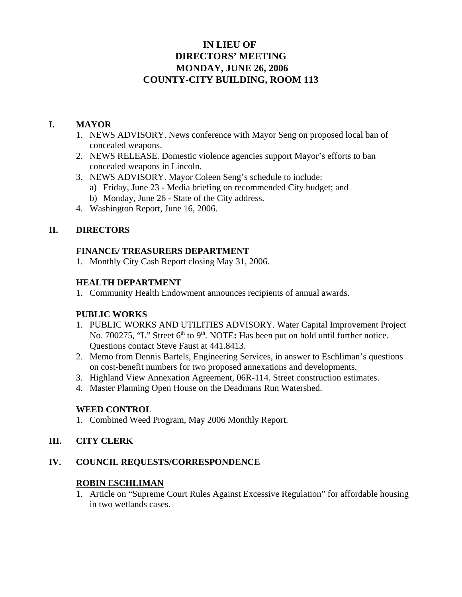# **IN LIEU OF DIRECTORS' MEETING MONDAY, JUNE 26, 2006 COUNTY-CITY BUILDING, ROOM 113**

### **I. MAYOR**

- 1. NEWS ADVISORY. News conference with Mayor Seng on proposed local ban of concealed weapons.
- 2. NEWS RELEASE. Domestic violence agencies support Mayor's efforts to ban concealed weapons in Lincoln.
- 3. NEWS ADVISORY. Mayor Coleen Seng's schedule to include:
	- a) Friday, June 23 Media briefing on recommended City budget; and
	- b) Monday, June 26 State of the City address.
- 4. Washington Report, June 16, 2006.

# **II. DIRECTORS**

### **FINANCE/ TREASURERS DEPARTMENT**

1. Monthly City Cash Report closing May 31, 2006.

## **HEALTH DEPARTMENT**

1. Community Health Endowment announces recipients of annual awards.

### **PUBLIC WORKS**

- 1. PUBLIC WORKS AND UTILITIES ADVISORY. Water Capital Improvement Project No. 700275, "L" Street 6<sup>th</sup> to 9<sup>th</sup>. NOTE: Has been put on hold until further notice. Questions contact Steve Faust at 441.8413.
- 2. Memo from Dennis Bartels, Engineering Services, in answer to Eschliman's questions on cost-benefit numbers for two proposed annexations and developments.
- 3. Highland View Annexation Agreement, 06R-114. Street construction estimates.
- 4. Master Planning Open House on the Deadmans Run Watershed.

### **WEED CONTROL**

1. Combined Weed Program, May 2006 Monthly Report.

### **III. CITY CLERK**

### **IV. COUNCIL REQUESTS/CORRESPONDENCE**

### **ROBIN ESCHLIMAN**

1. Article on "Supreme Court Rules Against Excessive Regulation" for affordable housing in two wetlands cases.